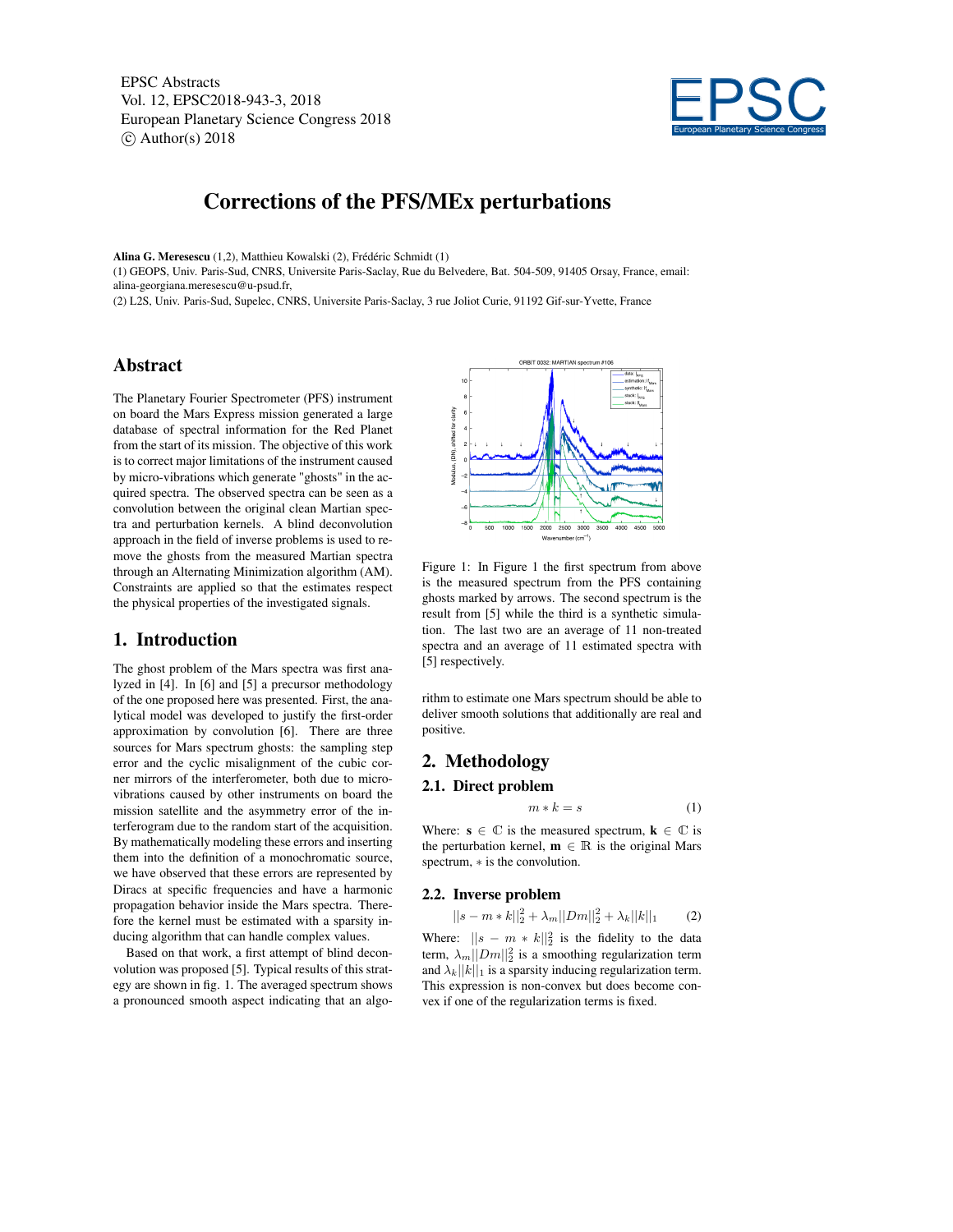EPSC Abstracts Vol. 12, EPSC2018-943-3, 2018 European Planetary Science Congress 2018  $\circ$  Author(s) 2018



# Corrections of the PFS/MEx perturbations

Alina G. Meresescu (1,2), Matthieu Kowalski (2), Frédéric Schmidt (1)

(1) GEOPS, Univ. Paris-Sud, CNRS, Universite Paris-Saclay, Rue du Belvedere, Bat. 504-509, 91405 Orsay, France, email: alina-georgiana.meresescu@u-psud.fr,

(2) L2S, Univ. Paris-Sud, Supelec, CNRS, Universite Paris-Saclay, 3 rue Joliot Curie, 91192 Gif-sur-Yvette, France

# Abstract

The Planetary Fourier Spectrometer (PFS) instrument on board the Mars Express mission generated a large database of spectral information for the Red Planet from the start of its mission. The objective of this work is to correct major limitations of the instrument caused by micro-vibrations which generate "ghosts" in the acquired spectra. The observed spectra can be seen as a convolution between the original clean Martian spectra and perturbation kernels. A blind deconvolution approach in the field of inverse problems is used to remove the ghosts from the measured Martian spectra through an Alternating Minimization algorithm (AM). Constraints are applied so that the estimates respect the physical properties of the investigated signals.

## 1. Introduction

The ghost problem of the Mars spectra was first analyzed in [4]. In [6] and [5] a precursor methodology of the one proposed here was presented. First, the analytical model was developed to justify the first-order approximation by convolution [6]. There are three sources for Mars spectrum ghosts: the sampling step error and the cyclic misalignment of the cubic corner mirrors of the interferometer, both due to microvibrations caused by other instruments on board the mission satellite and the asymmetry error of the interferogram due to the random start of the acquisition. By mathematically modeling these errors and inserting them into the definition of a monochromatic source, we have observed that these errors are represented by Diracs at specific frequencies and have a harmonic propagation behavior inside the Mars spectra. Therefore the kernel must be estimated with a sparsity inducing algorithm that can handle complex values.

Based on that work, a first attempt of blind deconvolution was proposed [5]. Typical results of this strategy are shown in fig. 1. The averaged spectrum shows a pronounced smooth aspect indicating that an algo-



Figure 1: In Figure 1 the first spectrum from above is the measured spectrum from the PFS containing ghosts marked by arrows. The second spectrum is the result from [5] while the third is a synthetic simulation. The last two are an average of 11 non-treated spectra and an average of 11 estimated spectra with [5] respectively.

rithm to estimate one Mars spectrum should be able to deliver smooth solutions that additionally are real and positive.

## 2. Methodology

## 2.1. Direct problem

$$
m * k = s \tag{1}
$$

Where:  $s \in \mathbb{C}$  is the measured spectrum,  $k \in \mathbb{C}$  is the perturbation kernel,  $\mathbf{m} \in \mathbb{R}$  is the original Mars spectrum,  $*$  is the convolution.

#### 2.2. Inverse problem

$$
||s - m * k||_2^2 + \lambda_m ||Dm||_2^2 + \lambda_k ||k||_1 \qquad (2)
$$

Where:  $||s - m * k||_2^2$  is the fidelity to the data term,  $\lambda_m ||Dm||_2^2$  is a smoothing regularization term and  $\lambda_k ||k||_1$  is a sparsity inducing regularization term. This expression is non-convex but does become convex if one of the regularization terms is fixed.